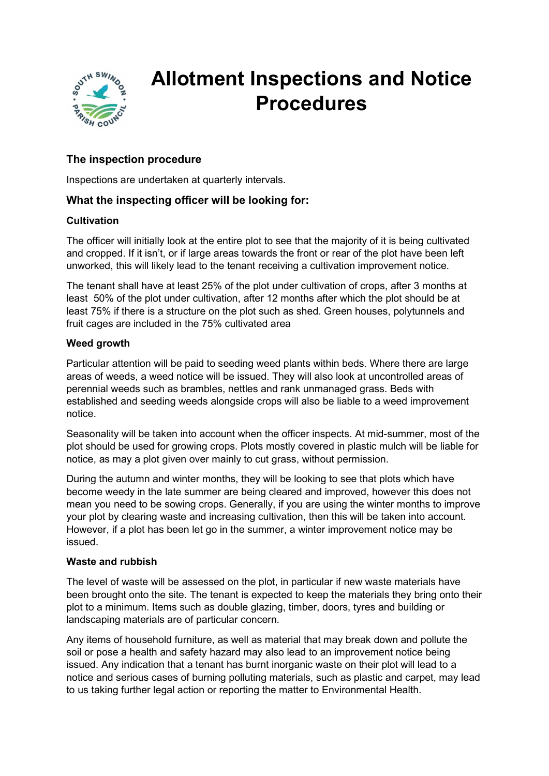

# Allotment Inspections and Notice Procedures

# The inspection procedure

Inspections are undertaken at quarterly intervals.

## What the inspecting officer will be looking for:

## **Cultivation**

The officer will initially look at the entire plot to see that the majority of it is being cultivated and cropped. If it isn't, or if large areas towards the front or rear of the plot have been left unworked, this will likely lead to the tenant receiving a cultivation improvement notice.

The tenant shall have at least 25% of the plot under cultivation of crops, after 3 months at least 50% of the plot under cultivation, after 12 months after which the plot should be at least 75% if there is a structure on the plot such as shed. Green houses, polytunnels and fruit cages are included in the 75% cultivated area

## Weed arowth

Particular attention will be paid to seeding weed plants within beds. Where there are large areas of weeds, a weed notice will be issued. They will also look at uncontrolled areas of perennial weeds such as brambles, nettles and rank unmanaged grass. Beds with established and seeding weeds alongside crops will also be liable to a weed improvement notice.

Seasonality will be taken into account when the officer inspects. At mid-summer, most of the plot should be used for growing crops. Plots mostly covered in plastic mulch will be liable for notice, as may a plot given over mainly to cut grass, without permission.

During the autumn and winter months, they will be looking to see that plots which have become weedy in the late summer are being cleared and improved, however this does not mean you need to be sowing crops. Generally, if you are using the winter months to improve your plot by clearing waste and increasing cultivation, then this will be taken into account. However, if a plot has been let go in the summer, a winter improvement notice may be issued.

## Waste and rubbish

The level of waste will be assessed on the plot, in particular if new waste materials have been brought onto the site. The tenant is expected to keep the materials they bring onto their plot to a minimum. Items such as double glazing, timber, doors, tyres and building or landscaping materials are of particular concern.

Any items of household furniture, as well as material that may break down and pollute the soil or pose a health and safety hazard may also lead to an improvement notice being issued. Any indication that a tenant has burnt inorganic waste on their plot will lead to a notice and serious cases of burning polluting materials, such as plastic and carpet, may lead to us taking further legal action or reporting the matter to Environmental Health.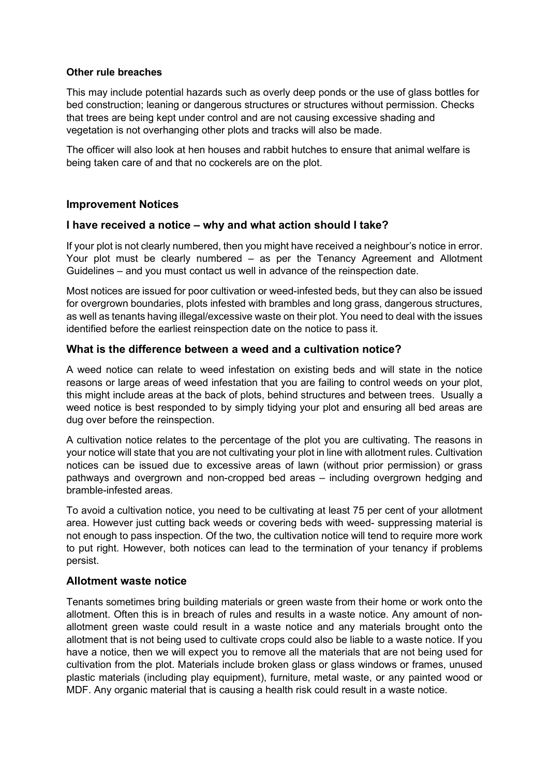## Other rule breaches

This may include potential hazards such as overly deep ponds or the use of glass bottles for bed construction; leaning or dangerous structures or structures without permission. Checks that trees are being kept under control and are not causing excessive shading and vegetation is not overhanging other plots and tracks will also be made.

The officer will also look at hen houses and rabbit hutches to ensure that animal welfare is being taken care of and that no cockerels are on the plot.

## Improvement Notices

## I have received a notice – why and what action should I take?

If your plot is not clearly numbered, then you might have received a neighbour's notice in error. Your plot must be clearly numbered – as per the Tenancy Agreement and Allotment Guidelines – and you must contact us well in advance of the reinspection date.

Most notices are issued for poor cultivation or weed-infested beds, but they can also be issued for overgrown boundaries, plots infested with brambles and long grass, dangerous structures, as well as tenants having illegal/excessive waste on their plot. You need to deal with the issues identified before the earliest reinspection date on the notice to pass it.

## What is the difference between a weed and a cultivation notice?

A weed notice can relate to weed infestation on existing beds and will state in the notice reasons or large areas of weed infestation that you are failing to control weeds on your plot, this might include areas at the back of plots, behind structures and between trees. Usually a weed notice is best responded to by simply tidying your plot and ensuring all bed areas are dug over before the reinspection.

A cultivation notice relates to the percentage of the plot you are cultivating. The reasons in your notice will state that you are not cultivating your plot in line with allotment rules. Cultivation notices can be issued due to excessive areas of lawn (without prior permission) or grass pathways and overgrown and non-cropped bed areas – including overgrown hedging and bramble-infested areas.

To avoid a cultivation notice, you need to be cultivating at least 75 per cent of your allotment area. However just cutting back weeds or covering beds with weed- suppressing material is not enough to pass inspection. Of the two, the cultivation notice will tend to require more work to put right. However, both notices can lead to the termination of your tenancy if problems persist.

## Allotment waste notice

Tenants sometimes bring building materials or green waste from their home or work onto the allotment. Often this is in breach of rules and results in a waste notice. Any amount of nonallotment green waste could result in a waste notice and any materials brought onto the allotment that is not being used to cultivate crops could also be liable to a waste notice. If you have a notice, then we will expect you to remove all the materials that are not being used for cultivation from the plot. Materials include broken glass or glass windows or frames, unused plastic materials (including play equipment), furniture, metal waste, or any painted wood or MDF. Any organic material that is causing a health risk could result in a waste notice.